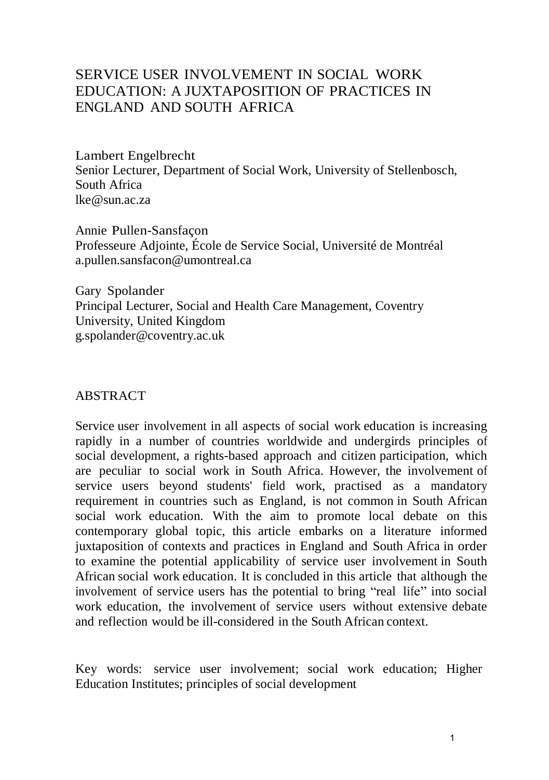# SERVICE USER INVOLVEMENT IN SOCIAL WORK EDUCATION: A JUXTAPOSITION OF PRACTICES IN ENGLAND AND SOUTH AFRICA

Lambert Engelbrecht Senior Lecturer, Department of Social Work, University of Stellenbosch, South Afric[a](mailto:lke@sun.ac.za) [lke@sun.ac.za](mailto:lke@sun.ac.za)

Annie Pullen-Sansfaçon Professeure Adjointe, École de Service Social, Université de Montréal [a.pullen.sansfacon@umontreal.ca](mailto:a.pullen.sansfacon@umontreal.ca)

Gary Spolander Principal Lecturer, Social and Health Care Management, Coventry University, United Kingdo[m](mailto:g.spolander@coventry.ac.uk) [g.spolander@coventry.ac.uk](mailto:g.spolander@coventry.ac.uk)

### ABSTRACT

Service user involvement in all aspects of social work education is increasing rapidly in a number of countries worldwide and undergirds principles of social development, a rights-based approach and citizen participation, which are peculiar to social work in South Africa. However, the involvement of service users beyond students' field work, practised as a mandatory requirement in countries such as England, is not common in South African social work education. With the aim to promote local debate on this contemporary global topic, this article embarks on a literature informed juxtaposition of contexts and practices in England and South Africa in order to examine the potential applicability of service user involvement in South African social work education. It is concluded in this article that although the involvement of service users has the potential to bring "real life" into social work education, the involvement of service users without extensive debate and reflection would be ill-considered in the South African context.

Key words: service user involvement; social work education; Higher Education Institutes; principles of social development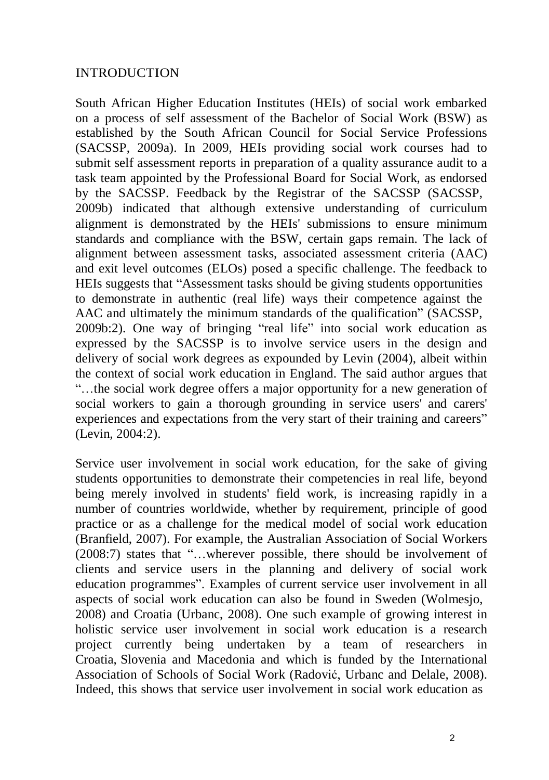### INTRODUCTION

South African Higher Education Institutes (HEIs) of social work embarked on a process of self assessment of the Bachelor of Social Work (BSW) as established by the South African Council for Social Service Professions (SACSSP, 2009a). In 2009, HEIs providing social work courses had to submit self assessment reports in preparation of a quality assurance audit to a task team appointed by the Professional Board for Social Work, as endorsed by the SACSSP. Feedback by the Registrar of the SACSSP (SACSSP, 2009b) indicated that although extensive understanding of curriculum alignment is demonstrated by the HEIs' submissions to ensure minimum standards and compliance with the BSW, certain gaps remain. The lack of alignment between assessment tasks, associated assessment criteria (AAC) and exit level outcomes (ELOs) posed a specific challenge. The feedback to HEIs suggests that "Assessment tasks should be giving students opportunities to demonstrate in authentic (real life) ways their competence against the AAC and ultimately the minimum standards of the qualification" (SACSSP, 2009b:2). One way of bringing "real life" into social work education as expressed by the SACSSP is to involve service users in the design and delivery of social work degrees as expounded by Levin (2004), albeit within the context of social work education in England. The said author argues that "…the social work degree offers a major opportunity for a new generation of social workers to gain a thorough grounding in service users' and carers' experiences and expectations from the very start of their training and careers" (Levin, 2004:2).

Service user involvement in social work education, for the sake of giving students opportunities to demonstrate their competencies in real life, beyond being merely involved in students' field work, is increasing rapidly in a number of countries worldwide, whether by requirement, principle of good practice or as a challenge for the medical model of social work education (Branfield, 2007). For example, the Australian Association of Social Workers (2008:7) states that "…wherever possible, there should be involvement of clients and service users in the planning and delivery of social work education programmes". Examples of current service user involvement in all aspects of social work education can also be found in Sweden (Wolmesjo, 2008) and Croatia (Urbanc, 2008). One such example of growing interest in holistic service user involvement in social work education is a research project currently being undertaken by a team of researchers in Croatia, Slovenia and Macedonia and which is funded by the International Association of Schools of Social Work (Radović, Urbanc and Delale, 2008). Indeed, this shows that service user involvement in social work education as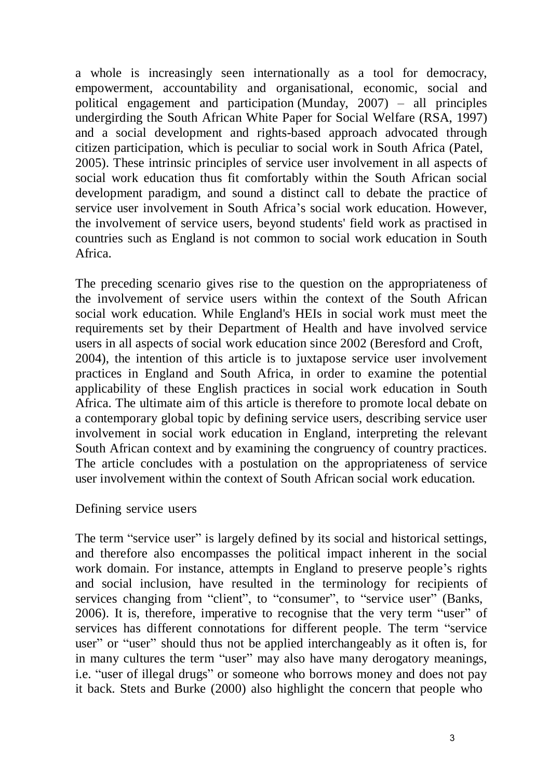a whole is increasingly seen internationally as a tool for democracy, empowerment, accountability and organisational, economic, social and political engagement and participation (Munday, 2007) – all principles undergirding the South African White Paper for Social Welfare (RSA, 1997) and a social development and rights-based approach advocated through citizen participation, which is peculiar to social work in South Africa (Patel, 2005). These intrinsic principles of service user involvement in all aspects of social work education thus fit comfortably within the South African social development paradigm, and sound a distinct call to debate the practice of service user involvement in South Africa's social work education. However, the involvement of service users, beyond students' field work as practised in countries such as England is not common to social work education in South Africa.

The preceding scenario gives rise to the question on the appropriateness of the involvement of service users within the context of the South African social work education. While England's HEIs in social work must meet the requirements set by their Department of Health and have involved service users in all aspects of social work education since 2002 (Beresford and Croft, 2004), the intention of this article is to juxtapose service user involvement practices in England and South Africa, in order to examine the potential applicability of these English practices in social work education in South Africa. The ultimate aim of this article is therefore to promote local debate on a contemporary global topic by defining service users, describing service user involvement in social work education in England, interpreting the relevant South African context and by examining the congruency of country practices. The article concludes with a postulation on the appropriateness of service user involvement within the context of South African social work education.

#### Defining service users

The term "service user" is largely defined by its social and historical settings, and therefore also encompasses the political impact inherent in the social work domain. For instance, attempts in England to preserve people's rights and social inclusion, have resulted in the terminology for recipients of services changing from "client", to "consumer", to "service user" (Banks, 2006). It is, therefore, imperative to recognise that the very term "user" of services has different connotations for different people. The term "service user" or "user" should thus not be applied interchangeably as it often is, for in many cultures the term "user" may also have many derogatory meanings, i.e. "user of illegal drugs" or someone who borrows money and does not pay it back. Stets and Burke (2000) also highlight the concern that people who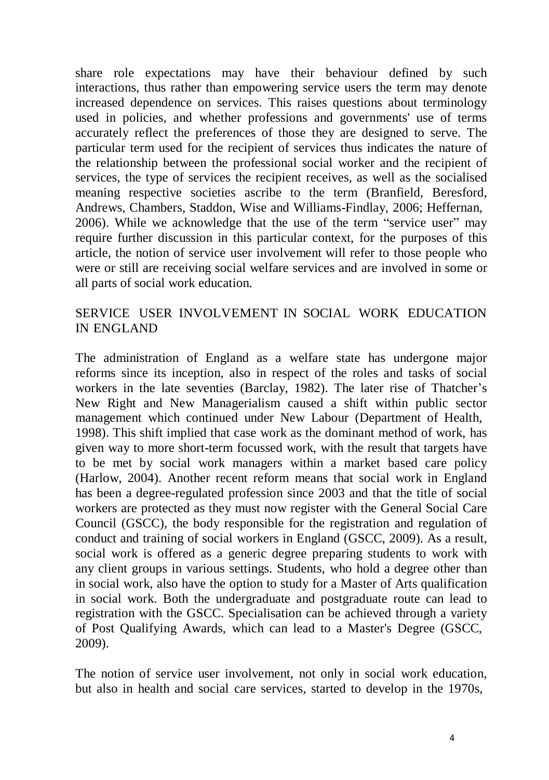share role expectations may have their behaviour defined by such interactions, thus rather than empowering service users the term may denote increased dependence on services. This raises questions about terminology used in policies, and whether professions and governments' use of terms accurately reflect the preferences of those they are designed to serve. The particular term used for the recipient of services thus indicates the nature of the relationship between the professional social worker and the recipient of services, the type of services the recipient receives, as well as the socialised meaning respective societies ascribe to the term (Branfield, Beresford, Andrews, Chambers, Staddon, Wise and Williams-Findlay, 2006; Heffernan, 2006). While we acknowledge that the use of the term "service user" may require further discussion in this particular context, for the purposes of this article, the notion of service user involvement will refer to those people who were or still are receiving social welfare services and are involved in some or all parts of social work education.

# SERVICE USER INVOLVEMENT IN SOCIAL WORK EDUCATION IN ENGLAND

The administration of England as a welfare state has undergone major reforms since its inception, also in respect of the roles and tasks of social workers in the late seventies (Barclay, 1982). The later rise of Thatcher's New Right and New Managerialism caused a shift within public sector management which continued under New Labour (Department of Health, 1998). This shift implied that case work as the dominant method of work, has given way to more short-term focussed work, with the result that targets have to be met by social work managers within a market based care policy (Harlow, 2004). Another recent reform means that social work in England has been a degree-regulated profession since 2003 and that the title of social workers are protected as they must now register with the General Social Care Council (GSCC), the body responsible for the registration and regulation of conduct and training of social workers in England (GSCC, 2009). As a result, social work is offered as a generic degree preparing students to work with any client groups in various settings. Students, who hold a degree other than in social work, also have the option to study for a Master of Arts qualification in social work. Both the undergraduate and postgraduate route can lead to registration with the GSCC. Specialisation can be achieved through a variety of Post Qualifying Awards, which can lead to a Master's Degree (GSCC, 2009).

The notion of service user involvement, not only in social work education, but also in health and social care services, started to develop in the 1970s,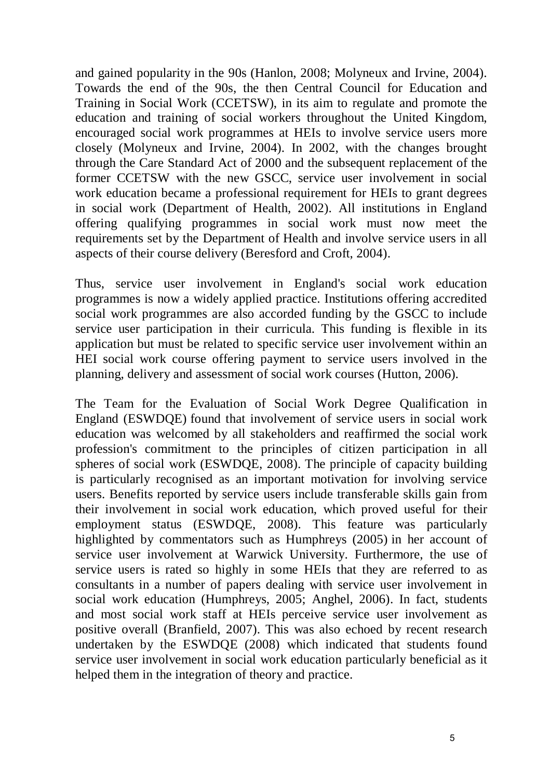and gained popularity in the 90s (Hanlon, 2008; Molyneux and Irvine, 2004). Towards the end of the 90s, the then Central Council for Education and Training in Social Work (CCETSW), in its aim to regulate and promote the education and training of social workers throughout the United Kingdom, encouraged social work programmes at HEIs to involve service users more closely (Molyneux and Irvine, 2004). In 2002, with the changes brought through the Care Standard Act of 2000 and the subsequent replacement of the former CCETSW with the new GSCC, service user involvement in social work education became a professional requirement for HEIs to grant degrees in social work (Department of Health, 2002). All institutions in England offering qualifying programmes in social work must now meet the requirements set by the Department of Health and involve service users in all aspects of their course delivery (Beresford and Croft, 2004).

Thus, service user involvement in England's social work education programmes is now a widely applied practice. Institutions offering accredited social work programmes are also accorded funding by the GSCC to include service user participation in their curricula. This funding is flexible in its application but must be related to specific service user involvement within an HEI social work course offering payment to service users involved in the planning, delivery and assessment of social work courses (Hutton, 2006).

The Team for the Evaluation of Social Work Degree Qualification in England (ESWDQE) found that involvement of service users in social work education was welcomed by all stakeholders and reaffirmed the social work profession's commitment to the principles of citizen participation in all spheres of social work (ESWDQE, 2008). The principle of capacity building is particularly recognised as an important motivation for involving service users. Benefits reported by service users include transferable skills gain from their involvement in social work education, which proved useful for their employment status (ESWDQE, 2008). This feature was particularly highlighted by commentators such as Humphreys (2005) in her account of service user involvement at Warwick University. Furthermore, the use of service users is rated so highly in some HEIs that they are referred to as consultants in a number of papers dealing with service user involvement in social work education (Humphreys, 2005; Anghel, 2006). In fact, students and most social work staff at HEIs perceive service user involvement as positive overall (Branfield, 2007). This was also echoed by recent research undertaken by the ESWDQE (2008) which indicated that students found service user involvement in social work education particularly beneficial as it helped them in the integration of theory and practice.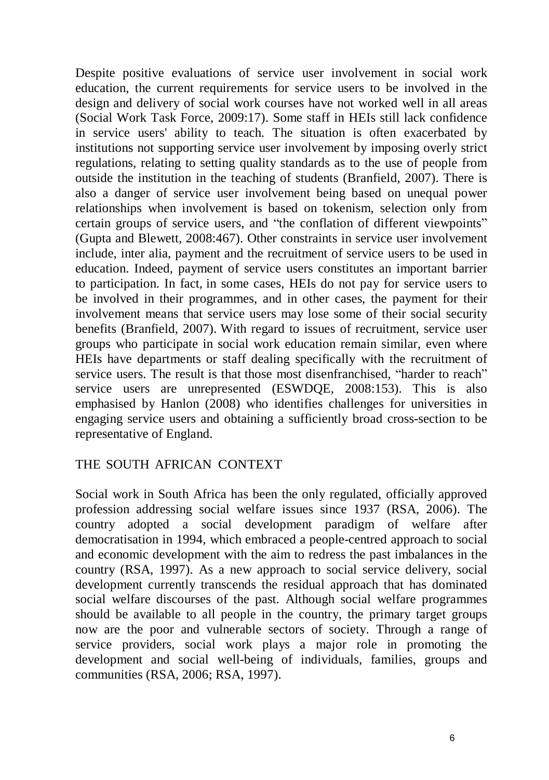Despite positive evaluations of service user involvement in social work education, the current requirements for service users to be involved in the design and delivery of social work courses have not worked well in all areas (Social Work Task Force, 2009:17). Some staff in HEIs still lack confidence in service users' ability to teach. The situation is often exacerbated by institutions not supporting service user involvement by imposing overly strict regulations, relating to setting quality standards as to the use of people from outside the institution in the teaching of students (Branfield, 2007). There is also a danger of service user involvement being based on unequal power relationships when involvement is based on tokenism, selection only from certain groups of service users, and "the conflation of different viewpoints" (Gupta and Blewett, 2008:467). Other constraints in service user involvement include, inter alia, payment and the recruitment of service users to be used in education. Indeed, payment of service users constitutes an important barrier to participation. In fact, in some cases, HEIs do not pay for service users to be involved in their programmes, and in other cases, the payment for their involvement means that service users may lose some of their social security benefits (Branfield, 2007). With regard to issues of recruitment, service user groups who participate in social work education remain similar, even where HEIs have departments or staff dealing specifically with the recruitment of service users. The result is that those most disenfranchised, "harder to reach" service users are unrepresented (ESWDQE, 2008:153). This is also emphasised by Hanlon (2008) who identifies challenges for universities in engaging service users and obtaining a sufficiently broad cross-section to be representative of England.

# THE SOUTH AFRICAN CONTEXT

Social work in South Africa has been the only regulated, officially approved profession addressing social welfare issues since 1937 (RSA, 2006). The country adopted a social development paradigm of welfare after democratisation in 1994, which embraced a people-centred approach to social and economic development with the aim to redress the past imbalances in the country (RSA, 1997). As a new approach to social service delivery, social development currently transcends the residual approach that has dominated social welfare discourses of the past. Although social welfare programmes should be available to all people in the country, the primary target groups now are the poor and vulnerable sectors of society. Through a range of service providers, social work plays a major role in promoting the development and social well-being of individuals, families, groups and communities (RSA, 2006; RSA, 1997).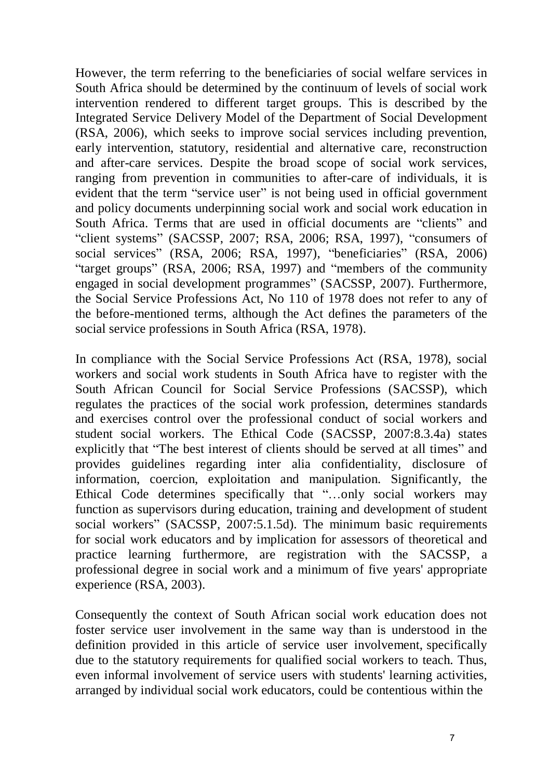However, the term referring to the beneficiaries of social welfare services in South Africa should be determined by the continuum of levels of social work intervention rendered to different target groups. This is described by the Integrated Service Delivery Model of the Department of Social Development (RSA, 2006), which seeks to improve social services including prevention, early intervention, statutory, residential and alternative care, reconstruction and after-care services. Despite the broad scope of social work services, ranging from prevention in communities to after-care of individuals, it is evident that the term "service user" is not being used in official government and policy documents underpinning social work and social work education in South Africa. Terms that are used in official documents are "clients" and "client systems" (SACSSP, 2007; RSA, 2006; RSA, 1997), "consumers of social services" (RSA, 2006; RSA, 1997), "beneficiaries" (RSA, 2006) "target groups" (RSA, 2006; RSA, 1997) and "members of the community engaged in social development programmes" (SACSSP, 2007). Furthermore, the Social Service Professions Act, No 110 of 1978 does not refer to any of the before-mentioned terms, although the Act defines the parameters of the social service professions in South Africa (RSA, 1978).

In compliance with the Social Service Professions Act (RSA, 1978), social workers and social work students in South Africa have to register with the South African Council for Social Service Professions (SACSSP), which regulates the practices of the social work profession, determines standards and exercises control over the professional conduct of social workers and student social workers. The Ethical Code (SACSSP, 2007:8.3.4a) states explicitly that "The best interest of clients should be served at all times" and provides guidelines regarding inter alia confidentiality, disclosure of information, coercion, exploitation and manipulation. Significantly, the Ethical Code determines specifically that "…only social workers may function as supervisors during education, training and development of student social workers" (SACSSP, 2007:5.1.5d). The minimum basic requirements for social work educators and by implication for assessors of theoretical and practice learning furthermore, are registration with the SACSSP, a professional degree in social work and a minimum of five years' appropriate experience (RSA, 2003).

Consequently the context of South African social work education does not foster service user involvement in the same way than is understood in the definition provided in this article of service user involvement, specifically due to the statutory requirements for qualified social workers to teach. Thus, even informal involvement of service users with students' learning activities, arranged by individual social work educators, could be contentious within the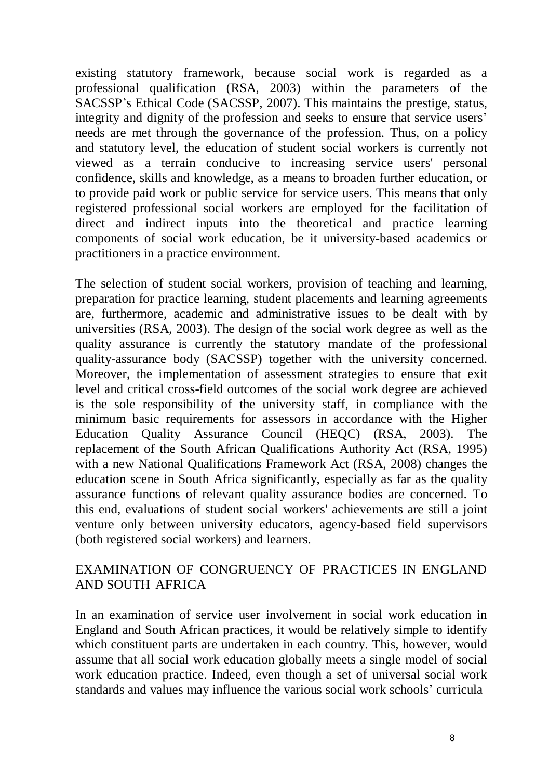existing statutory framework, because social work is regarded as a professional qualification (RSA, 2003) within the parameters of the SACSSP's Ethical Code (SACSSP, 2007). This maintains the prestige, status, integrity and dignity of the profession and seeks to ensure that service users' needs are met through the governance of the profession. Thus, on a policy and statutory level, the education of student social workers is currently not viewed as a terrain conducive to increasing service users' personal confidence, skills and knowledge, as a means to broaden further education, or to provide paid work or public service for service users. This means that only registered professional social workers are employed for the facilitation of direct and indirect inputs into the theoretical and practice learning components of social work education, be it university-based academics or practitioners in a practice environment.

The selection of student social workers, provision of teaching and learning, preparation for practice learning, student placements and learning agreements are, furthermore, academic and administrative issues to be dealt with by universities (RSA, 2003). The design of the social work degree as well as the quality assurance is currently the statutory mandate of the professional quality-assurance body (SACSSP) together with the university concerned. Moreover, the implementation of assessment strategies to ensure that exit level and critical cross-field outcomes of the social work degree are achieved is the sole responsibility of the university staff, in compliance with the minimum basic requirements for assessors in accordance with the Higher Education Quality Assurance Council (HEQC) (RSA, 2003). The replacement of the South African Qualifications Authority Act (RSA, 1995) with a new National Qualifications Framework Act (RSA, 2008) changes the education scene in South Africa significantly, especially as far as the quality assurance functions of relevant quality assurance bodies are concerned. To this end, evaluations of student social workers' achievements are still a joint venture only between university educators, agency-based field supervisors (both registered social workers) and learners.

# EXAMINATION OF CONGRUENCY OF PRACTICES IN ENGLAND AND SOUTH AFRICA

In an examination of service user involvement in social work education in England and South African practices, it would be relatively simple to identify which constituent parts are undertaken in each country. This, however, would assume that all social work education globally meets a single model of social work education practice. Indeed, even though a set of universal social work standards and values may influence the various social work schools' curricula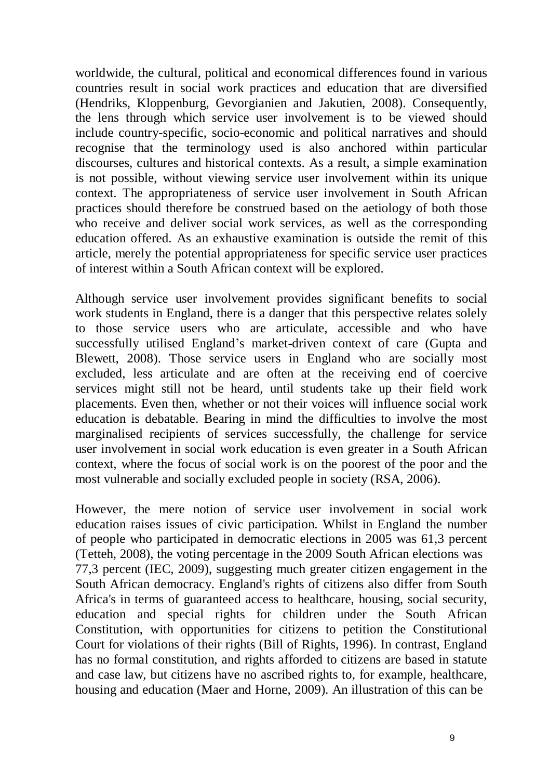worldwide, the cultural, political and economical differences found in various countries result in social work practices and education that are diversified (Hendriks, Kloppenburg, Gevorgianien and Jakutien, 2008). Consequently, the lens through which service user involvement is to be viewed should include country-specific, socio-economic and political narratives and should recognise that the terminology used is also anchored within particular discourses, cultures and historical contexts. As a result, a simple examination is not possible, without viewing service user involvement within its unique context. The appropriateness of service user involvement in South African practices should therefore be construed based on the aetiology of both those who receive and deliver social work services, as well as the corresponding education offered. As an exhaustive examination is outside the remit of this article, merely the potential appropriateness for specific service user practices of interest within a South African context will be explored.

Although service user involvement provides significant benefits to social work students in England, there is a danger that this perspective relates solely to those service users who are articulate, accessible and who have successfully utilised England's market-driven context of care (Gupta and Blewett, 2008). Those service users in England who are socially most excluded, less articulate and are often at the receiving end of coercive services might still not be heard, until students take up their field work placements. Even then, whether or not their voices will influence social work education is debatable. Bearing in mind the difficulties to involve the most marginalised recipients of services successfully, the challenge for service user involvement in social work education is even greater in a South African context, where the focus of social work is on the poorest of the poor and the most vulnerable and socially excluded people in society (RSA, 2006).

However, the mere notion of service user involvement in social work education raises issues of civic participation. Whilst in England the number of people who participated in democratic elections in 2005 was 61,3 percent (Tetteh, 2008), the voting percentage in the 2009 South African elections was 77,3 percent (IEC, 2009), suggesting much greater citizen engagement in the South African democracy. England's rights of citizens also differ from South Africa's in terms of guaranteed access to healthcare, housing, social security, education and special rights for children under the South African Constitution, with opportunities for citizens to petition the Constitutional Court for violations of their rights (Bill of Rights, 1996). In contrast, England has no formal constitution, and rights afforded to citizens are based in statute and case law, but citizens have no ascribed rights to, for example, healthcare, housing and education (Maer and Horne, 2009). An illustration of this can be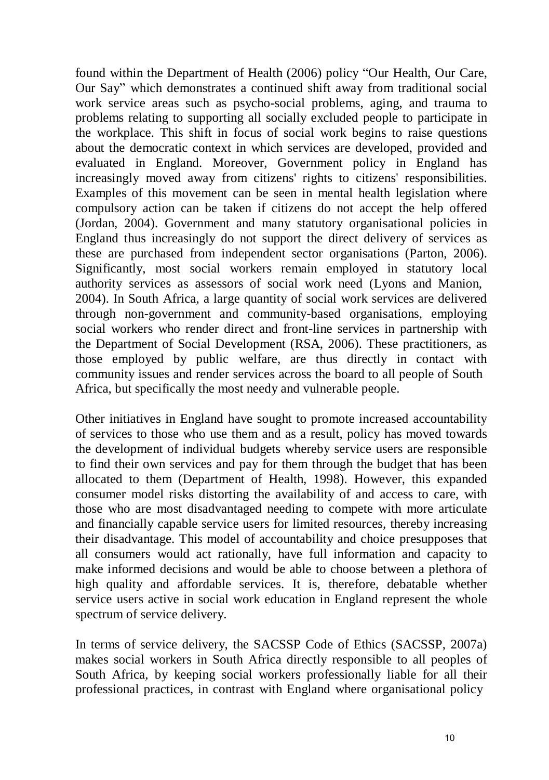found within the Department of Health (2006) policy "Our Health, Our Care, Our Say" which demonstrates a continued shift away from traditional social work service areas such as psycho-social problems, aging, and trauma to problems relating to supporting all socially excluded people to participate in the workplace. This shift in focus of social work begins to raise questions about the democratic context in which services are developed, provided and evaluated in England. Moreover, Government policy in England has increasingly moved away from citizens' rights to citizens' responsibilities. Examples of this movement can be seen in mental health legislation where compulsory action can be taken if citizens do not accept the help offered (Jordan, 2004). Government and many statutory organisational policies in England thus increasingly do not support the direct delivery of services as these are purchased from independent sector organisations (Parton, 2006). Significantly, most social workers remain employed in statutory local authority services as assessors of social work need (Lyons and Manion, 2004). In South Africa, a large quantity of social work services are delivered through non-government and community-based organisations, employing social workers who render direct and front-line services in partnership with the Department of Social Development (RSA, 2006). These practitioners, as those employed by public welfare, are thus directly in contact with community issues and render services across the board to all people of South Africa, but specifically the most needy and vulnerable people.

Other initiatives in England have sought to promote increased accountability of services to those who use them and as a result, policy has moved towards the development of individual budgets whereby service users are responsible to find their own services and pay for them through the budget that has been allocated to them (Department of Health, 1998). However, this expanded consumer model risks distorting the availability of and access to care, with those who are most disadvantaged needing to compete with more articulate and financially capable service users for limited resources, thereby increasing their disadvantage. This model of accountability and choice presupposes that all consumers would act rationally, have full information and capacity to make informed decisions and would be able to choose between a plethora of high quality and affordable services. It is, therefore, debatable whether service users active in social work education in England represent the whole spectrum of service delivery.

In terms of service delivery, the SACSSP Code of Ethics (SACSSP, 2007a) makes social workers in South Africa directly responsible to all peoples of South Africa, by keeping social workers professionally liable for all their professional practices, in contrast with England where organisational policy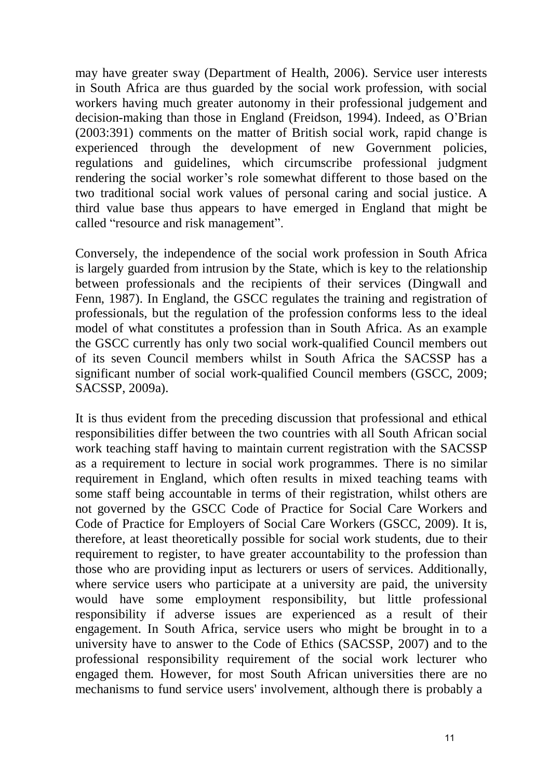may have greater sway (Department of Health, 2006). Service user interests in South Africa are thus guarded by the social work profession, with social workers having much greater autonomy in their professional judgement and decision-making than those in England (Freidson, 1994). Indeed, as O'Brian (2003:391) comments on the matter of British social work, rapid change is experienced through the development of new Government policies, regulations and guidelines, which circumscribe professional judgment rendering the social worker's role somewhat different to those based on the two traditional social work values of personal caring and social justice. A third value base thus appears to have emerged in England that might be called "resource and risk management".

Conversely, the independence of the social work profession in South Africa is largely guarded from intrusion by the State, which is key to the relationship between professionals and the recipients of their services (Dingwall and Fenn, 1987). In England, the GSCC regulates the training and registration of professionals, but the regulation of the profession conforms less to the ideal model of what constitutes a profession than in South Africa. As an example the GSCC currently has only two social work-qualified Council members out of its seven Council members whilst in South Africa the SACSSP has a significant number of social work-qualified Council members (GSCC, 2009; SACSSP, 2009a).

It is thus evident from the preceding discussion that professional and ethical responsibilities differ between the two countries with all South African social work teaching staff having to maintain current registration with the SACSSP as a requirement to lecture in social work programmes. There is no similar requirement in England, which often results in mixed teaching teams with some staff being accountable in terms of their registration, whilst others are not governed by the GSCC Code of Practice for Social Care Workers and Code of Practice for Employers of Social Care Workers (GSCC, 2009). It is, therefore, at least theoretically possible for social work students, due to their requirement to register, to have greater accountability to the profession than those who are providing input as lecturers or users of services. Additionally, where service users who participate at a university are paid, the university would have some employment responsibility, but little professional responsibility if adverse issues are experienced as a result of their engagement. In South Africa, service users who might be brought in to a university have to answer to the Code of Ethics (SACSSP, 2007) and to the professional responsibility requirement of the social work lecturer who engaged them. However, for most South African universities there are no mechanisms to fund service users' involvement, although there is probably a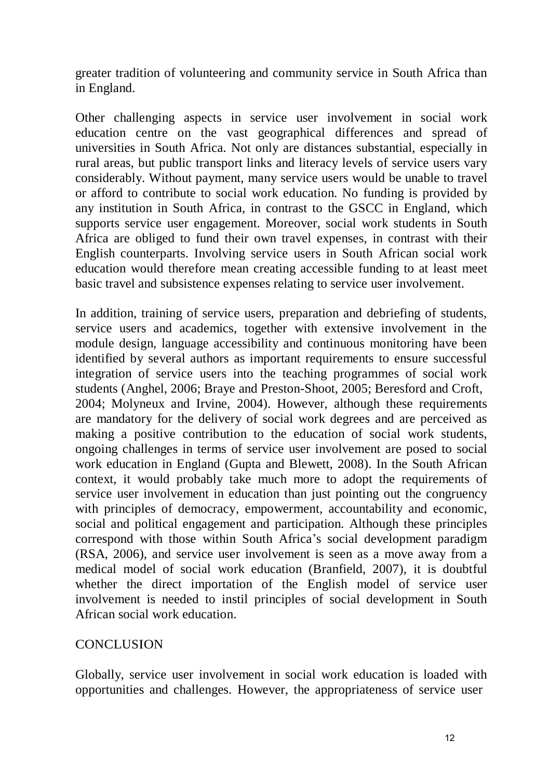greater tradition of volunteering and community service in South Africa than in England.

Other challenging aspects in service user involvement in social work education centre on the vast geographical differences and spread of universities in South Africa. Not only are distances substantial, especially in rural areas, but public transport links and literacy levels of service users vary considerably. Without payment, many service users would be unable to travel or afford to contribute to social work education. No funding is provided by any institution in South Africa, in contrast to the GSCC in England, which supports service user engagement. Moreover, social work students in South Africa are obliged to fund their own travel expenses, in contrast with their English counterparts. Involving service users in South African social work education would therefore mean creating accessible funding to at least meet basic travel and subsistence expenses relating to service user involvement.

In addition, training of service users, preparation and debriefing of students, service users and academics, together with extensive involvement in the module design, language accessibility and continuous monitoring have been identified by several authors as important requirements to ensure successful integration of service users into the teaching programmes of social work students (Anghel, 2006; Braye and Preston-Shoot, 2005; Beresford and Croft, 2004; Molyneux and Irvine, 2004). However, although these requirements are mandatory for the delivery of social work degrees and are perceived as making a positive contribution to the education of social work students, ongoing challenges in terms of service user involvement are posed to social work education in England (Gupta and Blewett, 2008). In the South African context, it would probably take much more to adopt the requirements of service user involvement in education than just pointing out the congruency with principles of democracy, empowerment, accountability and economic, social and political engagement and participation. Although these principles correspond with those within South Africa's social development paradigm (RSA, 2006), and service user involvement is seen as a move away from a medical model of social work education (Branfield, 2007), it is doubtful whether the direct importation of the English model of service user involvement is needed to instil principles of social development in South African social work education.

# **CONCLUSION**

Globally, service user involvement in social work education is loaded with opportunities and challenges. However, the appropriateness of service user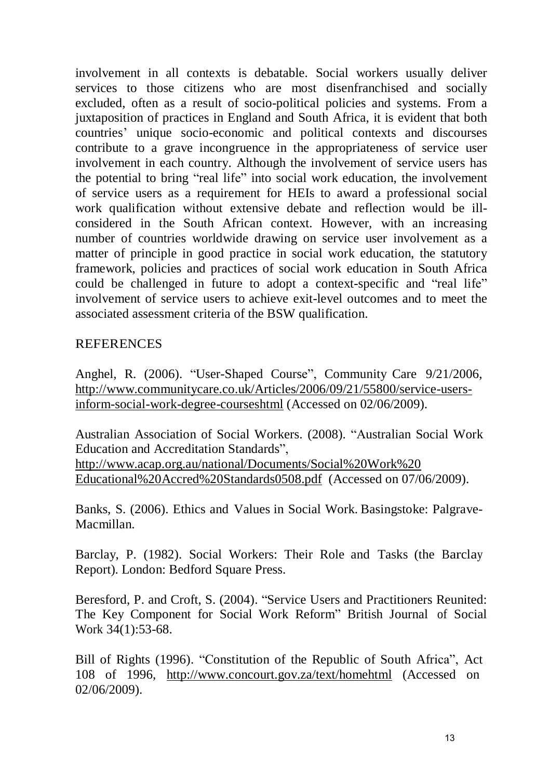involvement in all contexts is debatable. Social workers usually deliver services to those citizens who are most disenfranchised and socially excluded, often as a result of socio-political policies and systems. From a juxtaposition of practices in England and South Africa, it is evident that both countries' unique socio-economic and political contexts and discourses contribute to a grave incongruence in the appropriateness of service user involvement in each country. Although the involvement of service users has the potential to bring "real life" into social work education, the involvement of service users as a requirement for HEIs to award a professional social work qualification without extensive debate and reflection would be illconsidered in the South African context. However, with an increasing number of countries worldwide drawing on service user involvement as a matter of principle in good practice in social work education, the statutory framework, policies and practices of social work education in South Africa could be challenged in future to adopt a context-specific and "real life" involvement of service users to achieve exit-level outcomes and to meet the associated assessment criteria of the BSW qualification.

# REFERENCES

Anghel, R. (2006). "User-Shaped Course", Community Care 9/21/2006, [http://www.communitycare.co.uk/Articles/2006/09/21/55800/service-users](http://www.communitycare.co.uk/Articles/2006/09/21/55800/service-users-)inform-social-work-degree-courses html (Accessed on 02/06/2009).

Australian Association of Social Workers. (2008). "Australian Social Work Education and Accreditation Standards", [http://www.acap.org.au/national/Documents/Social%20Work%20](http://www.acap.org.au/national/Documents/Social%20Work) Educational%20Accred%20Standards0508.pdf (Accessed on 07/06/2009).

Banks, S. (2006). Ethics and Values in Social Work. Basingstoke: Palgrave-Macmillan.

Barclay, P. (1982). Social Workers: Their Role and Tasks (the Barclay Report). London: Bedford Square Press.

Beresford, P. and Croft, S. (2004). "Service Users and Practitioners Reunited: The Key Component for Social Work Reform" British Journal of Social Work 34(1):53-68.

Bill of Rights (1996). "Constitution of the Republic of South Africa", Act 108 of 1996, http://www.concourt.gov.za/text/homehtml (Accessed on 02/06/2009).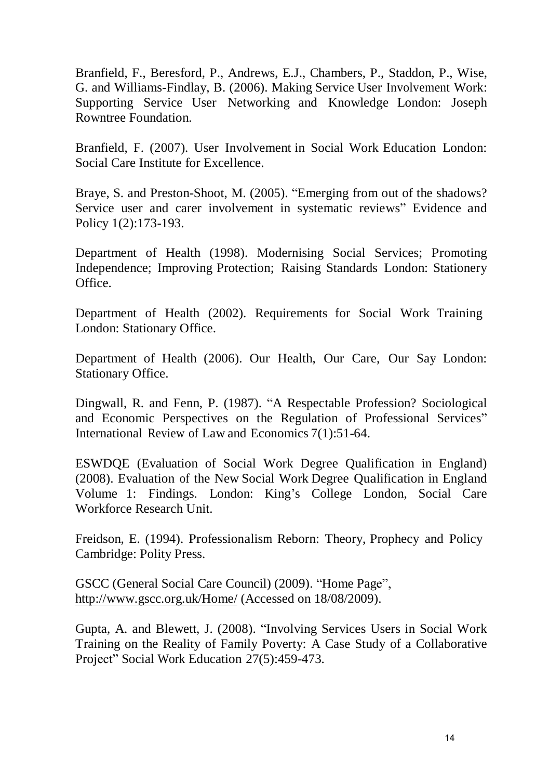Branfield, F., Beresford, P., Andrews, E.J., Chambers, P., Staddon, P., Wise, G. and Williams-Findlay, B. (2006). Making Service User Involvement Work: Supporting Service User Networking and Knowledge London: Joseph Rowntree Foundation.

Branfield, F. (2007). User Involvement in Social Work Education London: Social Care Institute for Excellence.

Braye, S. and Preston-Shoot, M. (2005). "Emerging from out of the shadows? Service user and carer involvement in systematic reviews" Evidence and Policy 1(2):173-193.

Department of Health (1998). Modernising Social Services; Promoting Independence; Improving Protection; Raising Standards London: Stationery Office.

Department of Health (2002). Requirements for Social Work Training London: Stationary Office.

Department of Health (2006). Our Health, Our Care, Our Say London: Stationary Office.

Dingwall, R. and Fenn, P. (1987). "A Respectable Profession? Sociological and Economic Perspectives on the Regulation of Professional Services" International Review of Law and Economics 7(1):51-64.

ESWDQE (Evaluation of Social Work Degree Qualification in England) (2008). Evaluation of the New Social Work Degree Qualification in England Volume 1: Findings. London: King's College London, Social Care Workforce Research Unit.

Freidson, E. (1994). Professionalism Reborn: Theory, Prophecy and Policy Cambridge: Polity Press.

GSCC (General Social Care Council) (2009). "Home Page", <http://www.gscc.org.uk/Home/>(Accessed on 18/08/2009).

Gupta, A. and Blewett, J. (2008). "Involving Services Users in Social Work Training on the Reality of Family Poverty: A Case Study of a Collaborative Project" Social Work Education 27(5):459-473.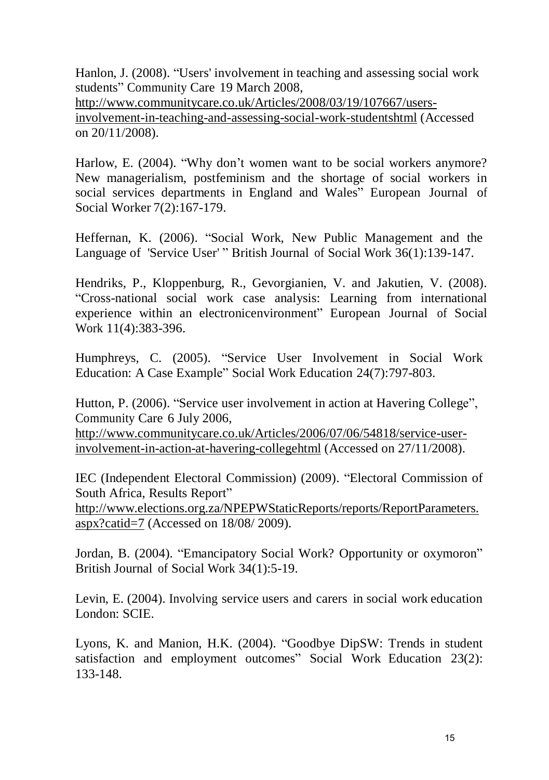Hanlon, J. (2008). "Users' involvement in teaching and assessing social work students" Community Care 19 March 2008, http://www.communitycare.co.uk/Articles/2008/03/19/107667/usersinvolvement-in-teaching-and-assessing-social-work-students html (Accessed on 20/11/2008).

Harlow, E. (2004). "Why don't women want to be social workers anymore? New managerialism, postfeminism and the shortage of social workers in social services departments in England and Wales" European Journal of Social Worker 7(2):167-179.

Heffernan, K. (2006). "Social Work, New Public Management and the Language of 'Service User'" British Journal of Social Work 36(1):139-147.

Hendriks, P., Kloppenburg, R., Gevorgianien, V. and Jakutien, V. (2008). "Cross-national social work case analysis: Learning from international experience within an electronicenvironment" European Journal of Social Work 11(4):383-396.

Humphreys, C. (2005). "Service User Involvement in Social Work Education: A Case Example" Social Work Education 24(7):797-803.

Hutton, P. (2006). "Service user involvement in action at Havering College", Community Care 6 July 2006,

http://www.communitycare.co.uk/Articles/2006/07/06/54818/service-userinvolvement-in-action-at-havering-college html (Accessed on 27/11/2008).

IEC (Independent Electoral Commission) (2009). "Electoral Commission of South Africa, Results Report"

[http://www.elections.org.za/NPEPWStaticReports/reports/ReportParameters.](http://www.elections.org.za/NPEPWStaticReports/reports/ReportParameters)  aspx?catid=7 (Accessed on 18/08/ 2009).

Jordan, B. (2004). "Emancipatory Social Work? Opportunity or oxymoron" British Journal of Social Work 34(1):5-19.

Levin, E. (2004). Involving service users and carers in social work education London: SCIE.

Lyons, K. and Manion, H.K. (2004). "Goodbye DipSW: Trends in student satisfaction and employment outcomes" Social Work Education 23(2): 133-148.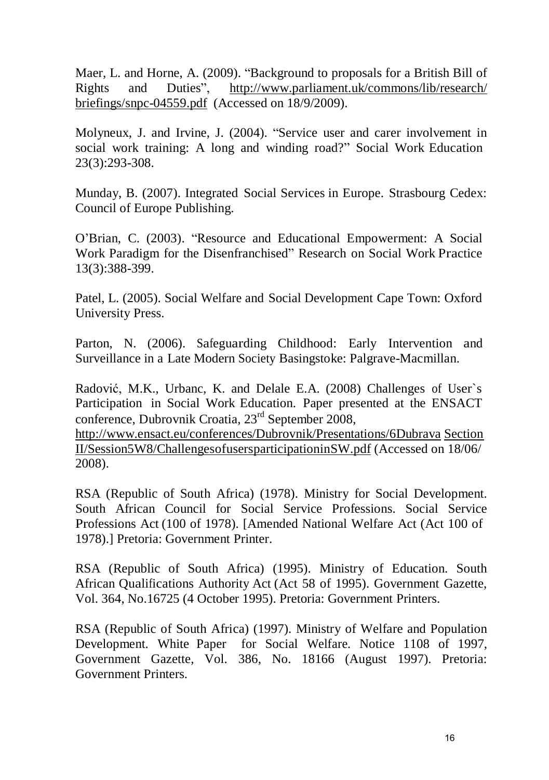Maer, L. and Horne, A. (2009). "Background to proposals for a British Bill of Rights and Duties", <http://www.parliament.uk/commons/lib/research/> briefings/snpc-04559.pdf (Accessed on 18/9/2009).

Molyneux, J. and Irvine, J. (2004). "Service user and carer involvement in social work training: A long and winding road?" Social Work Education 23(3):293-308.

Munday, B. (2007). Integrated Social Services in Europe. Strasbourg Cedex: Council of Europe Publishing.

O'Brian, C. (2003). "Resource and Educational Empowerment: A Social Work Paradigm for the Disenfranchised" Research on Social Work Practice 13(3):388-399.

Patel, L. (2005). Social Welfare and Social Development Cape Town: Oxford University Press.

Parton, N. (2006). Safeguarding Childhood: Early Intervention and Surveillance in a Late Modern Society Basingstoke: Palgrave-Macmillan.

Radović, M.K., Urbanc, K. and Delale E.A. (2008) Challenges of User`s Participation in Social Work Education. Paper presented at the ENSACT conference, Dubrovnik Croatia, 23rd September 2008,

http://www.ensact.eu/conferences/Dubrovnik/Presentations/6Dubrava Section II/Session5W8/Challenges of users participation inSW.pdf (Accessed on 18/06/ 2008).

RSA (Republic of South Africa) (1978). Ministry for Social Development. South African Council for Social Service Professions. Social Service Professions Act (100 of 1978). [Amended National Welfare Act (Act 100 of 1978).] Pretoria: Government Printer.

RSA (Republic of South Africa) (1995). Ministry of Education. South African Qualifications Authority Act (Act 58 of 1995). Government Gazette, Vol. 364, No.16725 (4 October 1995). Pretoria: Government Printers.

RSA (Republic of South Africa) (1997). Ministry of Welfare and Population Development. White Paper for Social Welfare. Notice 1108 of 1997, Government Gazette, Vol. 386, No. 18166 (August 1997). Pretoria: Government Printers.